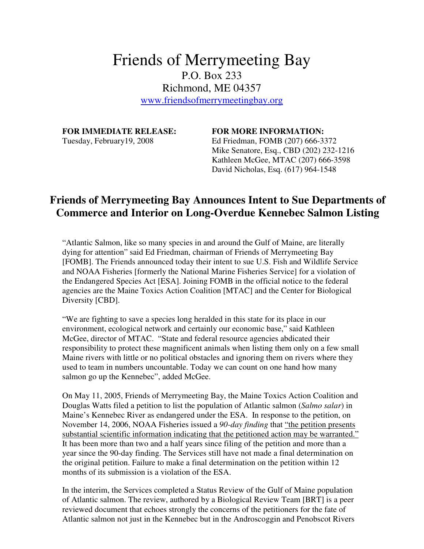## Friends of Merrymeeting Bay P.O. Box 233 Richmond, ME 04357 www.friendsofmerrymeetingbay.org

## **FOR IMMEDIATE RELEASE: FOR MORE INFORMATION:**

Tuesday, February19, 2008 Ed Friedman, FOMB (207) 666-3372 Mike Senatore, Esq., CBD (202) 232-1216 Kathleen McGee, MTAC (207) 666-3598 David Nicholas, Esq. (617) 964-1548

## **Friends of Merrymeeting Bay Announces Intent to Sue Departments of Commerce and Interior on Long-Overdue Kennebec Salmon Listing**

"Atlantic Salmon, like so many species in and around the Gulf of Maine, are literally dying for attention" said Ed Friedman, chairman of Friends of Merrymeeting Bay [FOMB]. The Friends announced today their intent to sue U.S. Fish and Wildlife Service and NOAA Fisheries [formerly the National Marine Fisheries Service] for a violation of the Endangered Species Act [ESA]. Joining FOMB in the official notice to the federal agencies are the Maine Toxics Action Coalition [MTAC] and the Center for Biological Diversity [CBD].

"We are fighting to save a species long heralded in this state for its place in our environment, ecological network and certainly our economic base," said Kathleen McGee, director of MTAC. "State and federal resource agencies abdicated their responsibility to protect these magnificent animals when listing them only on a few small Maine rivers with little or no political obstacles and ignoring them on rivers where they used to team in numbers uncountable. Today we can count on one hand how many salmon go up the Kennebec", added McGee.

On May 11, 2005, Friends of Merrymeeting Bay, the Maine Toxics Action Coalition and Douglas Watts filed a petition to list the population of Atlantic salmon (*Salmo salar*) in Maine's Kennebec River as endangered under the ESA. In response to the petition, on November 14, 2006, NOAA Fisheries issued a *90-day finding* that "the petition presents substantial scientific information indicating that the petitioned action may be warranted." It has been more than two and a half years since filing of the petition and more than a year since the 90-day finding. The Services still have not made a final determination on the original petition. Failure to make a final determination on the petition within 12 months of its submission is a violation of the ESA.

In the interim, the Services completed a Status Review of the Gulf of Maine population of Atlantic salmon. The review, authored by a Biological Review Team [BRT] is a peer reviewed document that echoes strongly the concerns of the petitioners for the fate of Atlantic salmon not just in the Kennebec but in the Androscoggin and Penobscot Rivers